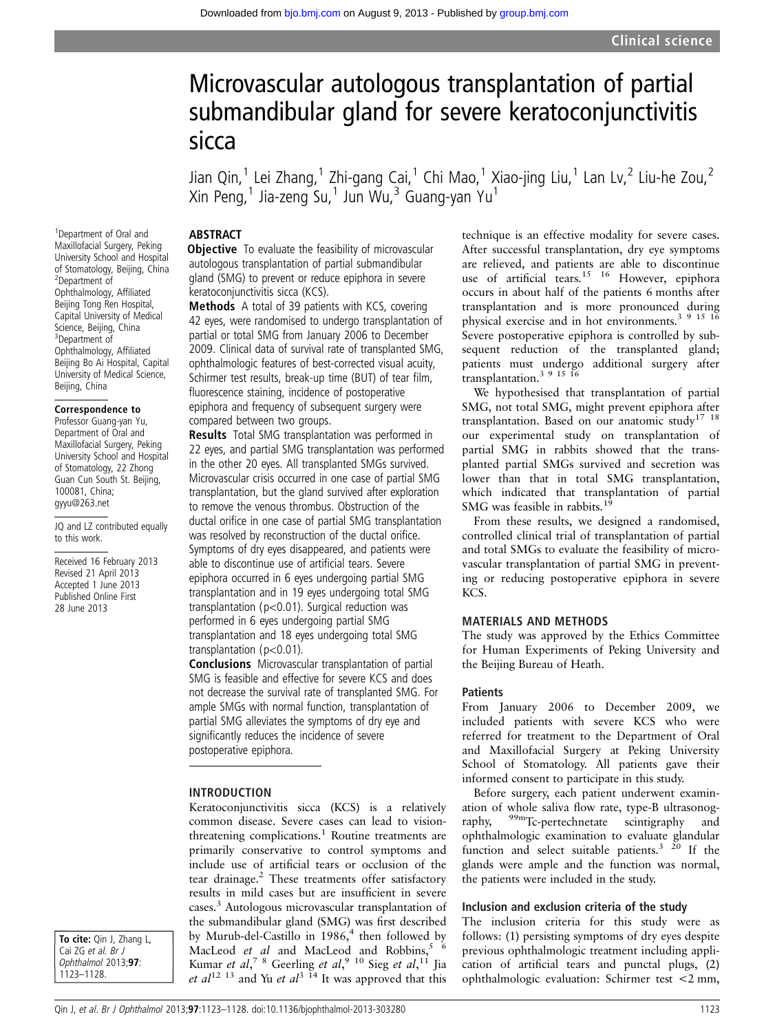# Microvascular autologous transplantation of partial submandibular gland for severe keratoconjunctivitis sicca

Jian Qin,<sup>1</sup> Lei Zhang,<sup>1</sup> Zhi-gang Cai,<sup>1</sup> Chi Mao,<sup>1</sup> Xiao-jing Liu,<sup>1</sup> Lan Lv,<sup>2</sup> Liu-he Zou,<sup>2</sup> Xin Peng,<sup>1</sup> Jia-zeng Su,<sup>1</sup> Jun Wu,<sup>3</sup> Guang-yan Yu<sup>1</sup>

### **ABSTRACT**

<sup>1</sup>Department of Oral and Maxillofacial Surgery, Peking University School and Hospital of Stomatology, Beijing, China 2 Department of Ophthalmology, Affiliated Beijing Tong Ren Hospital, Capital University of Medical Science, Beijing, China 3 Department of Ophthalmology, Affiliated Beijing Bo Ai Hospital, Capital University of Medical Science, Beijing, China

#### Correspondence to

Professor Guang-yan Yu, Department of Oral and Maxillofacial Surgery, Peking University School and Hospital of Stomatology, 22 Zhong Guan Cun South St. Beijing, 100081, China; gyyu@263.net

JQ and LZ contributed equally to this work.

Received 16 February 2013 Revised 21 April 2013 Accepted 1 June 2013 Published Online First 28 June 2013

**Objective** To evaluate the feasibility of microvascular autologous transplantation of partial submandibular gland (SMG) to prevent or reduce epiphora in severe keratoconjunctivitis sicca (KCS).

Methods A total of 39 patients with KCS, covering 42 eyes, were randomised to undergo transplantation of partial or total SMG from January 2006 to December 2009. Clinical data of survival rate of transplanted SMG, ophthalmologic features of best-corrected visual acuity, Schirmer test results, break-up time (BUT) of tear film, fluorescence staining, incidence of postoperative epiphora and frequency of subsequent surgery were compared between two groups.

Results Total SMG transplantation was performed in 22 eyes, and partial SMG transplantation was performed in the other 20 eyes. All transplanted SMGs survived. Microvascular crisis occurred in one case of partial SMG transplantation, but the gland survived after exploration to remove the venous thrombus. Obstruction of the ductal orifice in one case of partial SMG transplantation was resolved by reconstruction of the ductal orifice. Symptoms of dry eyes disappeared, and patients were able to discontinue use of artificial tears. Severe epiphora occurred in 6 eyes undergoing partial SMG transplantation and in 19 eyes undergoing total SMG transplantation (p<0.01). Surgical reduction was performed in 6 eyes undergoing partial SMG transplantation and 18 eyes undergoing total SMG transplantation (p<0.01).

Conclusions Microvascular transplantation of partial SMG is feasible and effective for severe KCS and does not decrease the survival rate of transplanted SMG. For ample SMGs with normal function, transplantation of partial SMG alleviates the symptoms of dry eye and significantly reduces the incidence of severe postoperative epiphora.

#### INTRODUCTION

Keratoconjunctivitis sicca (KCS) is a relatively common disease. Severe cases can lead to visionthreatening complications.<sup>1</sup> Routine treatments are primarily conservative to control symptoms and include use of artificial tears or occlusion of the tear drainage.<sup>2</sup> These treatments offer satisfactory results in mild cases but are insufficient in severe cases.3 Autologous microvascular transplantation of the submandibular gland (SMG) was first described by Murub-del-Castillo in 1986,<sup>4</sup> then followed by MacLeod *et al* and MacLeod and Robbins,  $\frac{5}{6}$ Kumar *et al*,<sup>78</sup> Geerling *et al*,<sup>910</sup> Sieg *et al*,<sup>11</sup> Jia et  $al^{12}$  <sup>13</sup> and Yu et  $al^{3}$  <sup>14</sup> It was approved that this

technique is an effective modality for severe cases. After successful transplantation, dry eye symptoms are relieved, and patients are able to discontinue use of artificial tears.<sup>15</sup> <sup>16</sup> However, epiphora occurs in about half of the patients 6 months after transplantation and is more pronounced during physical exercise and in hot environments.<sup>3 9 15 16</sup> Severe postoperative epiphora is controlled by subsequent reduction of the transplanted gland; patients must undergo additional surgery after transplantation.<sup>3</sup>  $9\frac{15}{16}$ 

We hypothesised that transplantation of partial SMG, not total SMG, might prevent epiphora after transplantation. Based on our anatomic study<sup>17 18</sup> our experimental study on transplantation of partial SMG in rabbits showed that the transplanted partial SMGs survived and secretion was lower than that in total SMG transplantation, which indicated that transplantation of partial SMG was feasible in rabbits.<sup>19</sup>

From these results, we designed a randomised, controlled clinical trial of transplantation of partial and total SMGs to evaluate the feasibility of microvascular transplantation of partial SMG in preventing or reducing postoperative epiphora in severe KCS.

#### MATERIALS AND METHODS

The study was approved by the Ethics Committee for Human Experiments of Peking University and the Beijing Bureau of Heath.

#### **Patients**

From January 2006 to December 2009, we included patients with severe KCS who were referred for treatment to the Department of Oral and Maxillofacial Surgery at Peking University School of Stomatology. All patients gave their informed consent to participate in this study.

Before surgery, each patient underwent examination of whole saliva flow rate, type-B ultrasonography, <sup>99m</sup>Tc-pertechnetate scintigraphy and ophthalmologic examination to evaluate glandular function and select suitable patients. $3\frac{20}{1}$  If the glands were ample and the function was normal, the patients were included in the study.

#### Inclusion and exclusion criteria of the study

The inclusion criteria for this study were as follows: (1) persisting symptoms of dry eyes despite previous ophthalmologic treatment including application of artificial tears and punctal plugs, (2) ophthalmologic evaluation: Schirmer test <2 mm,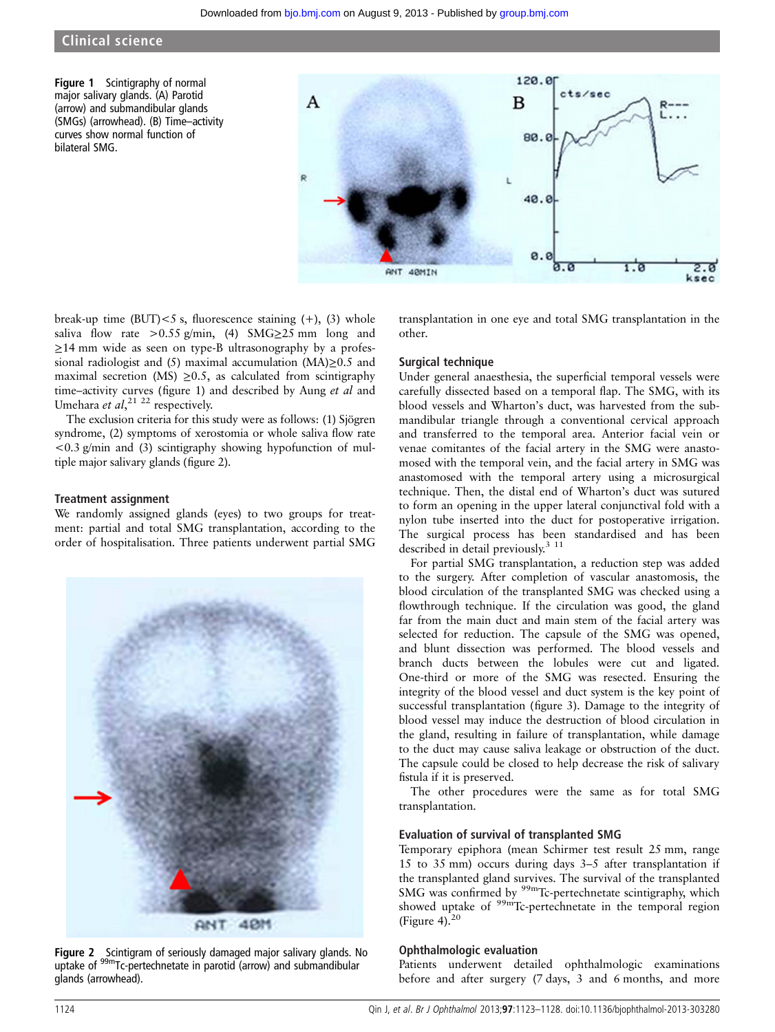Figure 1 Scintigraphy of normal major salivary glands. (A) Parotid (arrow) and submandibular glands (SMGs) (arrowhead). (B) Time–activity curves show normal function of bilateral SMG.



break-up time (BUT) $< 5$  s, fluorescence staining  $(+)$ ,  $(3)$  whole saliva flow rate >0.55 g/min, (4) SMG $\geq$ 25 mm long and ≥14 mm wide as seen on type-B ultrasonography by a professional radiologist and (5) maximal accumulation (MA)≥0.5 and maximal secretion (MS)  $\geq 0.5$ , as calculated from scintigraphy time–activity curves (figure 1) and described by Aung et al and Umehara et  $al$ ,<sup>21 22</sup> respectively.

The exclusion criteria for this study were as follows: (1) Sjögren syndrome, (2) symptoms of xerostomia or whole saliva flow rate  $\langle 0.3 \text{ g/min} \rangle$  and (3) scintigraphy showing hypofunction of multiple major salivary glands (figure 2).

#### Treatment assignment

We randomly assigned glands (eyes) to two groups for treatment: partial and total SMG transplantation, according to the order of hospitalisation. Three patients underwent partial SMG



Figure 2 Scintigram of seriously damaged major salivary glands. No uptake of <sup>99m</sup>Tc-pertechnetate in parotid (arrow) and submandibular glands (arrowhead).

transplantation in one eye and total SMG transplantation in the other.

#### Surgical technique

Under general anaesthesia, the superficial temporal vessels were carefully dissected based on a temporal flap. The SMG, with its blood vessels and Wharton's duct, was harvested from the submandibular triangle through a conventional cervical approach and transferred to the temporal area. Anterior facial vein or venae comitantes of the facial artery in the SMG were anastomosed with the temporal vein, and the facial artery in SMG was anastomosed with the temporal artery using a microsurgical technique. Then, the distal end of Wharton's duct was sutured to form an opening in the upper lateral conjunctival fold with a nylon tube inserted into the duct for postoperative irrigation. The surgical process has been standardised and has been described in detail previously.<sup>3</sup> <sup>11</sup>

For partial SMG transplantation, a reduction step was added to the surgery. After completion of vascular anastomosis, the blood circulation of the transplanted SMG was checked using a flowthrough technique. If the circulation was good, the gland far from the main duct and main stem of the facial artery was selected for reduction. The capsule of the SMG was opened, and blunt dissection was performed. The blood vessels and branch ducts between the lobules were cut and ligated. One-third or more of the SMG was resected. Ensuring the integrity of the blood vessel and duct system is the key point of successful transplantation (figure 3). Damage to the integrity of blood vessel may induce the destruction of blood circulation in the gland, resulting in failure of transplantation, while damage to the duct may cause saliva leakage or obstruction of the duct. The capsule could be closed to help decrease the risk of salivary fistula if it is preserved.

The other procedures were the same as for total SMG transplantation.

#### Evaluation of survival of transplanted SMG

Temporary epiphora (mean Schirmer test result 25 mm, range 15 to 35 mm) occurs during days 3–5 after transplantation if the transplanted gland survives. The survival of the transplanted SMG was confirmed by <sup>99m</sup>Tc-pertechnetate scintigraphy, which showed uptake of <sup>99m</sup>Tc-pertechnetate in the temporal region (Figure 4). $20$ 

#### Ophthalmologic evaluation

Patients underwent detailed ophthalmologic examinations before and after surgery (7 days, 3 and 6 months, and more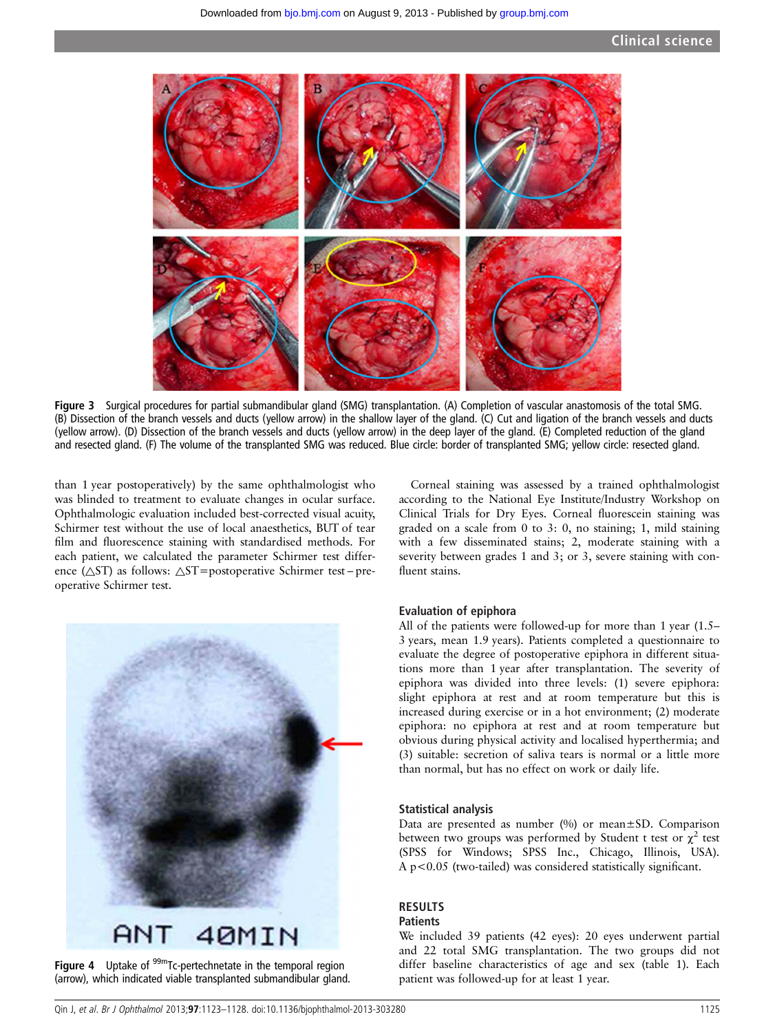

Figure 3 Surgical procedures for partial submandibular gland (SMG) transplantation. (A) Completion of vascular anastomosis of the total SMG. (B) Dissection of the branch vessels and ducts (yellow arrow) in the shallow layer of the gland. (C) Cut and ligation of the branch vessels and ducts (yellow arrow). (D) Dissection of the branch vessels and ducts (yellow arrow) in the deep layer of the gland. (E) Completed reduction of the gland and resected gland. (F) The volume of the transplanted SMG was reduced. Blue circle: border of transplanted SMG; yellow circle: resected gland.

than 1 year postoperatively) by the same ophthalmologist who was blinded to treatment to evaluate changes in ocular surface. Ophthalmologic evaluation included best-corrected visual acuity, Schirmer test without the use of local anaesthetics, BUT of tear film and fluorescence staining with standardised methods. For each patient, we calculated the parameter Schirmer test difference ( $\triangle$ ST) as follows:  $\triangle$ ST=postoperative Schirmer test-preoperative Schirmer test.



Figure 4 Uptake of <sup>99m</sup>Tc-pertechnetate in the temporal region (arrow), which indicated viable transplanted submandibular gland.

Corneal staining was assessed by a trained ophthalmologist according to the National Eye Institute/Industry Workshop on Clinical Trials for Dry Eyes. Corneal fluorescein staining was graded on a scale from 0 to 3: 0, no staining; 1, mild staining with a few disseminated stains; 2, moderate staining with a severity between grades 1 and 3; or 3, severe staining with confluent stains.

#### Evaluation of epiphora

All of the patients were followed-up for more than 1 year (1.5– 3 years, mean 1.9 years). Patients completed a questionnaire to evaluate the degree of postoperative epiphora in different situations more than 1 year after transplantation. The severity of epiphora was divided into three levels: (1) severe epiphora: slight epiphora at rest and at room temperature but this is increased during exercise or in a hot environment; (2) moderate epiphora: no epiphora at rest and at room temperature but obvious during physical activity and localised hyperthermia; and (3) suitable: secretion of saliva tears is normal or a little more than normal, but has no effect on work or daily life.

#### Statistical analysis

Data are presented as number (%) or mean±SD. Comparison between two groups was performed by Student t test or  $\chi^2$  test (SPSS for Windows; SPSS Inc., Chicago, Illinois, USA). A p<0.05 (two-tailed) was considered statistically significant.

#### RESULTS

#### **Patients**

We included 39 patients (42 eyes): 20 eyes underwent partial and 22 total SMG transplantation. The two groups did not differ baseline characteristics of age and sex (table 1). Each patient was followed-up for at least 1 year.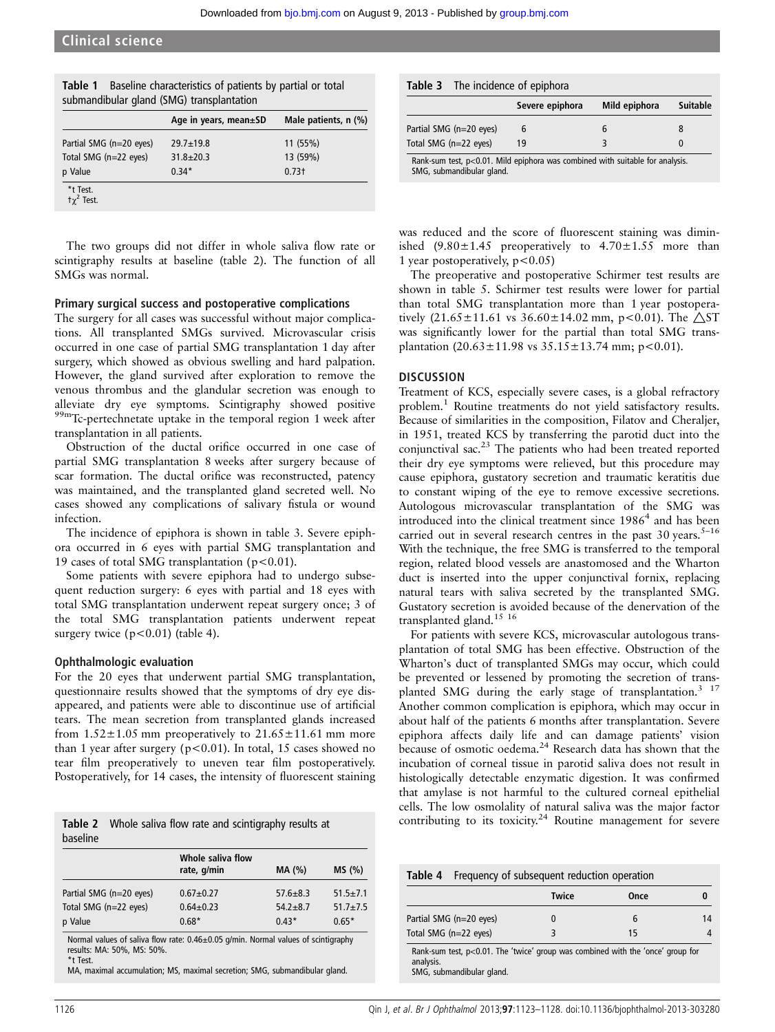| submandibular gland (SMG) transplantation | Age in years, mean±SD | Male patients, n (%) |
|-------------------------------------------|-----------------------|----------------------|
| Partial SMG (n=20 eyes)                   | $29.7 + 19.8$         | 11 (55%)             |
| Total SMG (n=22 eyes)                     | $31.8 \pm 20.3$       | 13 (59%)             |
| p Value                                   | $0.34*$               | 0.73 <sub>†</sub>    |
| *t Test.<br>$\tau \gamma^2$ Test.         |                       |                      |

Table 1 Baseline characteristics of patients by partial or total

The two groups did not differ in whole saliva flow rate or scintigraphy results at baseline (table 2). The function of all SMGs was normal.

#### Primary surgical success and postoperative complications

The surgery for all cases was successful without major complications. All transplanted SMGs survived. Microvascular crisis occurred in one case of partial SMG transplantation 1 day after surgery, which showed as obvious swelling and hard palpation. However, the gland survived after exploration to remove the venous thrombus and the glandular secretion was enough to alleviate dry eye symptoms. Scintigraphy showed positive 99mTc-pertechnetate uptake in the temporal region 1 week after transplantation in all patients.

Obstruction of the ductal orifice occurred in one case of partial SMG transplantation 8 weeks after surgery because of scar formation. The ductal orifice was reconstructed, patency was maintained, and the transplanted gland secreted well. No cases showed any complications of salivary fistula or wound infection.

The incidence of epiphora is shown in table 3. Severe epiphora occurred in 6 eyes with partial SMG transplantation and 19 cases of total SMG transplantation ( $p < 0.01$ ).

Some patients with severe epiphora had to undergo subsequent reduction surgery: 6 eyes with partial and 18 eyes with total SMG transplantation underwent repeat surgery once; 3 of the total SMG transplantation patients underwent repeat surgery twice  $(p<0.01)$  (table 4).

#### Ophthalmologic evaluation

For the 20 eyes that underwent partial SMG transplantation, questionnaire results showed that the symptoms of dry eye disappeared, and patients were able to discontinue use of artificial tears. The mean secretion from transplanted glands increased from  $1.52 \pm 1.05$  mm preoperatively to  $21.65 \pm 11.61$  mm more than 1 year after surgery ( $p < 0.01$ ). In total, 15 cases showed no tear film preoperatively to uneven tear film postoperatively. Postoperatively, for 14 cases, the intensity of fluorescent staining

|          | <b>Table 2</b> Whole saliva flow rate and scintigraphy results at |
|----------|-------------------------------------------------------------------|
| baseline |                                                                   |

|                         | Whole saliva flow<br>rate, g/min | MA (%)       | MS(%)          |
|-------------------------|----------------------------------|--------------|----------------|
| Partial SMG (n=20 eyes) | $0.67 + 0.27$                    | $57.6 + 8.3$ | $51.5 \pm 7.1$ |
| Total SMG (n=22 eyes)   | $0.64 \pm 0.23$                  | $54.2 + 8.7$ | $51.7 \pm 7.5$ |
| p Value                 | $0.68*$                          | $0.43*$      | $0.65*$        |

Normal values of saliva flow rate: 0.46±0.05 g/min. Normal values of scintigraphy results: MA: 50%, MS: 50%. \*t Test.

MA, maximal accumulation; MS, maximal secretion; SMG, submandibular gland.

#### Table 3 The incidence of epiphora

|                                                                                                               | Severe epiphora | Mild epiphora | Suitable |
|---------------------------------------------------------------------------------------------------------------|-----------------|---------------|----------|
| Partial SMG (n=20 eyes)                                                                                       |                 | b             |          |
| Total SMG (n=22 eyes)                                                                                         | 19              |               | $\Omega$ |
| Rank-sum test, $p<0.01$ . Mild epiphora was combined with suitable for analysis.<br>SMG, submandibular gland. |                 |               |          |

was reduced and the score of fluorescent staining was diminished  $(9.80 \pm 1.45)$  preoperatively to  $4.70 \pm 1.55$  more than 1 year postoperatively,  $p < 0.05$ )

The preoperative and postoperative Schirmer test results are shown in table 5. Schirmer test results were lower for partial than total SMG transplantation more than 1 year postoperatively  $(21.65 \pm 11.61 \text{ vs } 36.60 \pm 14.02 \text{ mm}, \text{ p} < 0.01)$ . The  $\triangle$ ST was significantly lower for the partial than total SMG transplantation  $(20.63 \pm 11.98 \text{ vs } 35.15 \pm 13.74 \text{ mm}; \text{ p} < 0.01)$ .

#### **DISCUSSION**

Treatment of KCS, especially severe cases, is a global refractory problem.<sup>1</sup> Routine treatments do not yield satisfactory results. Because of similarities in the composition, Filatov and Cheralier, in 1951, treated KCS by transferring the parotid duct into the conjunctival sac.<sup>23</sup> The patients who had been treated reported their dry eye symptoms were relieved, but this procedure may cause epiphora, gustatory secretion and traumatic keratitis due to constant wiping of the eye to remove excessive secretions. Autologous microvascular transplantation of the SMG was introduced into the clinical treatment since  $1986<sup>4</sup>$  and has been carried out in several research centres in the past  $30$  years.<sup>5–16</sup> With the technique, the free SMG is transferred to the temporal region, related blood vessels are anastomosed and the Wharton duct is inserted into the upper conjunctival fornix, replacing natural tears with saliva secreted by the transplanted SMG. Gustatory secretion is avoided because of the denervation of the transplanted gland.<sup>15</sup><sup>16</sup>

For patients with severe KCS, microvascular autologous transplantation of total SMG has been effective. Obstruction of the Wharton's duct of transplanted SMGs may occur, which could be prevented or lessened by promoting the secretion of transplanted SMG during the early stage of transplantation.<sup>3</sup> <sup>17</sup> Another common complication is epiphora, which may occur in about half of the patients 6 months after transplantation. Severe epiphora affects daily life and can damage patients' vision because of osmotic oedema.<sup>24</sup> Research data has shown that the incubation of corneal tissue in parotid saliva does not result in histologically detectable enzymatic digestion. It was confirmed that amylase is not harmful to the cultured corneal epithelial cells. The low osmolality of natural saliva was the major factor contributing to its toxicity.<sup>24</sup> Routine management for severe

| Table 4   |                         | Frequency of subsequent reduction operation                                     |      |    |
|-----------|-------------------------|---------------------------------------------------------------------------------|------|----|
|           |                         | <b>Twice</b>                                                                    | Once |    |
|           | Partial SMG (n=20 eyes) |                                                                                 | 6    | 14 |
|           | Total SMG (n=22 eyes)   | 3                                                                               | 15   |    |
| analysis. |                         | Rank-sum test, p<0.01. The 'twice' group was combined with the 'once' group for |      |    |

SMG, submandibular gland.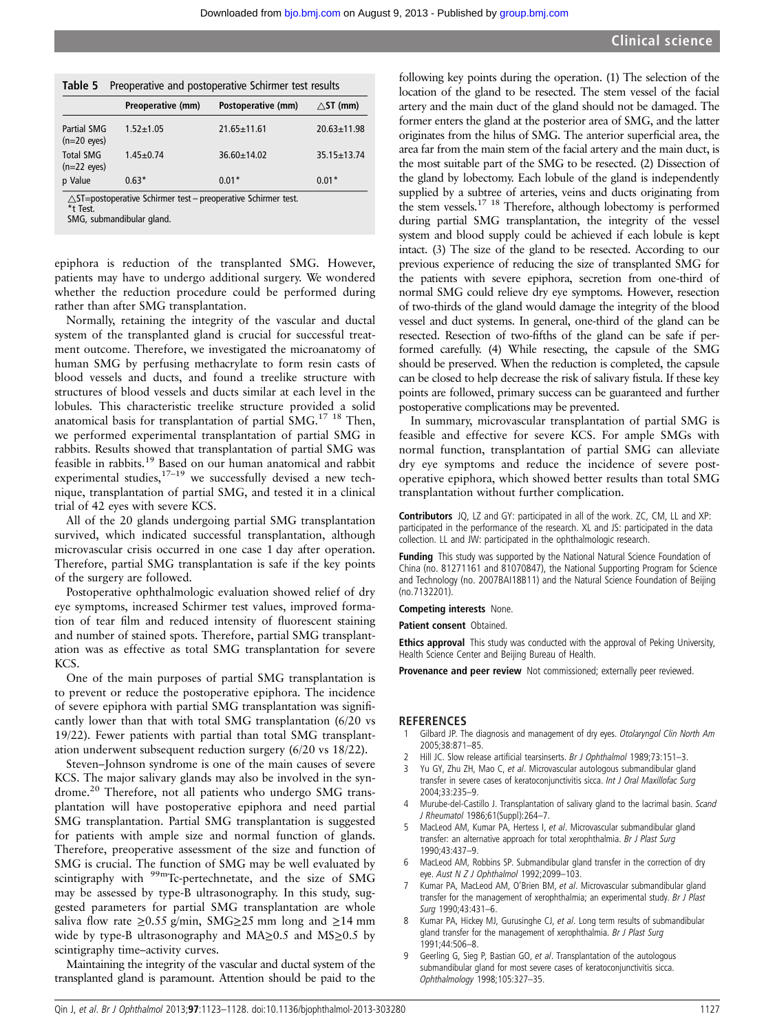|  | Table 5 Preoperative and postoperative Schirmer test results |  |  |  |
|--|--------------------------------------------------------------|--|--|--|
|--|--------------------------------------------------------------|--|--|--|

|                                           | Preoperative (mm) | Postoperative (mm) | $\wedge$ ST (mm)  |
|-------------------------------------------|-------------------|--------------------|-------------------|
| Partial SMG<br>$(n=20 \text{ eyes})$      | $1.52 + 1.05$     | $21.65 \pm 11.61$  | $20.63 \pm 11.98$ |
| <b>Total SMG</b><br>$(n=22 \text{ eyes})$ | $1.45 \pm 0.74$   | $36.60 \pm 14.02$  | $35.15 \pm 13.74$ |
| p Value                                   | $0.63*$           | $0.01*$            | $0.01*$           |

 $\triangle$ ST=postoperative Schirmer test – preoperative Schirmer test.

\*t Test.

SMG, submandibular gland.

epiphora is reduction of the transplanted SMG. However, patients may have to undergo additional surgery. We wondered whether the reduction procedure could be performed during rather than after SMG transplantation.

Normally, retaining the integrity of the vascular and ductal system of the transplanted gland is crucial for successful treatment outcome. Therefore, we investigated the microanatomy of human SMG by perfusing methacrylate to form resin casts of blood vessels and ducts, and found a treelike structure with structures of blood vessels and ducts similar at each level in the lobules. This characteristic treelike structure provided a solid anatomical basis for transplantation of partial SMG.<sup>17</sup> <sup>18</sup> Then, we performed experimental transplantation of partial SMG in rabbits. Results showed that transplantation of partial SMG was feasible in rabbits.<sup>19</sup> Based on our human anatomical and rabbit experimental studies,  $17-19$  we successfully devised a new technique, transplantation of partial SMG, and tested it in a clinical trial of 42 eyes with severe KCS.

All of the 20 glands undergoing partial SMG transplantation survived, which indicated successful transplantation, although microvascular crisis occurred in one case 1 day after operation. Therefore, partial SMG transplantation is safe if the key points of the surgery are followed.

Postoperative ophthalmologic evaluation showed relief of dry eye symptoms, increased Schirmer test values, improved formation of tear film and reduced intensity of fluorescent staining and number of stained spots. Therefore, partial SMG transplantation was as effective as total SMG transplantation for severe KCS.

One of the main purposes of partial SMG transplantation is to prevent or reduce the postoperative epiphora. The incidence of severe epiphora with partial SMG transplantation was significantly lower than that with total SMG transplantation (6/20 vs 19/22). Fewer patients with partial than total SMG transplantation underwent subsequent reduction surgery (6/20 vs 18/22).

Steven–Johnson syndrome is one of the main causes of severe KCS. The major salivary glands may also be involved in the syndrome.<sup>20</sup> Therefore, not all patients who undergo SMG transplantation will have postoperative epiphora and need partial SMG transplantation. Partial SMG transplantation is suggested for patients with ample size and normal function of glands. Therefore, preoperative assessment of the size and function of SMG is crucial. The function of SMG may be well evaluated by scintigraphy with <sup>99m</sup>Tc-pertechnetate, and the size of SMG may be assessed by type-B ultrasonography. In this study, suggested parameters for partial SMG transplantation are whole saliva flow rate ≥0.55 g/min, SMG≥25 mm long and ≥14 mm wide by type-B ultrasonography and MA $\geq$ 0.5 and MS $\geq$ 0.5 by scintigraphy time–activity curves.

Maintaining the integrity of the vascular and ductal system of the transplanted gland is paramount. Attention should be paid to the

following key points during the operation. (1) The selection of the location of the gland to be resected. The stem vessel of the facial artery and the main duct of the gland should not be damaged. The former enters the gland at the posterior area of SMG, and the latter originates from the hilus of SMG. The anterior superficial area, the area far from the main stem of the facial artery and the main duct, is the most suitable part of the SMG to be resected. (2) Dissection of the gland by lobectomy. Each lobule of the gland is independently supplied by a subtree of arteries, veins and ducts originating from the stem vessels.<sup>17</sup> <sup>18</sup> Therefore, although lobectomy is performed during partial SMG transplantation, the integrity of the vessel system and blood supply could be achieved if each lobule is kept intact. (3) The size of the gland to be resected. According to our previous experience of reducing the size of transplanted SMG for the patients with severe epiphora, secretion from one-third of normal SMG could relieve dry eye symptoms. However, resection of two-thirds of the gland would damage the integrity of the blood vessel and duct systems. In general, one-third of the gland can be resected. Resection of two-fifths of the gland can be safe if performed carefully. (4) While resecting, the capsule of the SMG should be preserved. When the reduction is completed, the capsule can be closed to help decrease the risk of salivary fistula. If these key points are followed, primary success can be guaranteed and further postoperative complications may be prevented.

In summary, microvascular transplantation of partial SMG is feasible and effective for severe KCS. For ample SMGs with normal function, transplantation of partial SMG can alleviate dry eye symptoms and reduce the incidence of severe postoperative epiphora, which showed better results than total SMG transplantation without further complication.

Contributors JQ, LZ and GY: participated in all of the work. ZC, CM, LL and XP: participated in the performance of the research. XL and JS: participated in the data collection. LL and JW: participated in the ophthalmologic research.

Funding This study was supported by the National Natural Science Foundation of China (no. 81271161 and 81070847), the National Supporting Program for Science and Technology (no. 2007BAI18B11) and the Natural Science Foundation of Beijing (no.7132201).

Competing interests None.

Patient consent Obtained.

**Ethics approval** This study was conducted with the approval of Peking University, Health Science Center and Beijing Bureau of Health.

Provenance and peer review Not commissioned; externally peer reviewed.

#### **REFERENCES**

- 1 Gilbard JP. The diagnosis and management of dry eyes. Otolaryngol Clin North Am 2005;38:871–85.
- 2 Hill JC. Slow release artificial tearsinserts. Br J Ophthalmol 1989;73:151-3.
- 3 Yu GY, Zhu ZH, Mao C, et al. Microvascular autologous submandibular gland transfer in severe cases of keratoconjunctivitis sicca. Int J Oral Maxillofac Surg 2004;33:235–9.
- Murube-del-Castillo J. Transplantation of salivary gland to the lacrimal basin. Scand J Rheumatol 1986;61(Suppl):264–7.
- 5 MacLeod AM, Kumar PA, Hertess I, et al. Microvascular submandibular gland transfer: an alternative approach for total xerophthalmia. Br J Plast Surg 1990;43:437–9.
- MacLeod AM, Robbins SP. Submandibular gland transfer in the correction of dry eye. Aust N Z J Ophthalmol 1992;2099–103.
- Kumar PA, MacLeod AM, O'Brien BM, et al. Microvascular submandibular gland transfer for the management of xerophthalmia; an experimental study. Br J Plast Surg 1990;43:431–6.
- 8 Kumar PA, Hickey MJ, Gurusinghe CJ, et al. Long term results of submandibular gland transfer for the management of xerophthalmia. Br J Plast Surg 1991;44:506–8.
- Geerling G, Sieg P, Bastian GO, et al. Transplantation of the autologous submandibular gland for most severe cases of keratoconjunctivitis sicca. Ophthalmology 1998;105:327–35.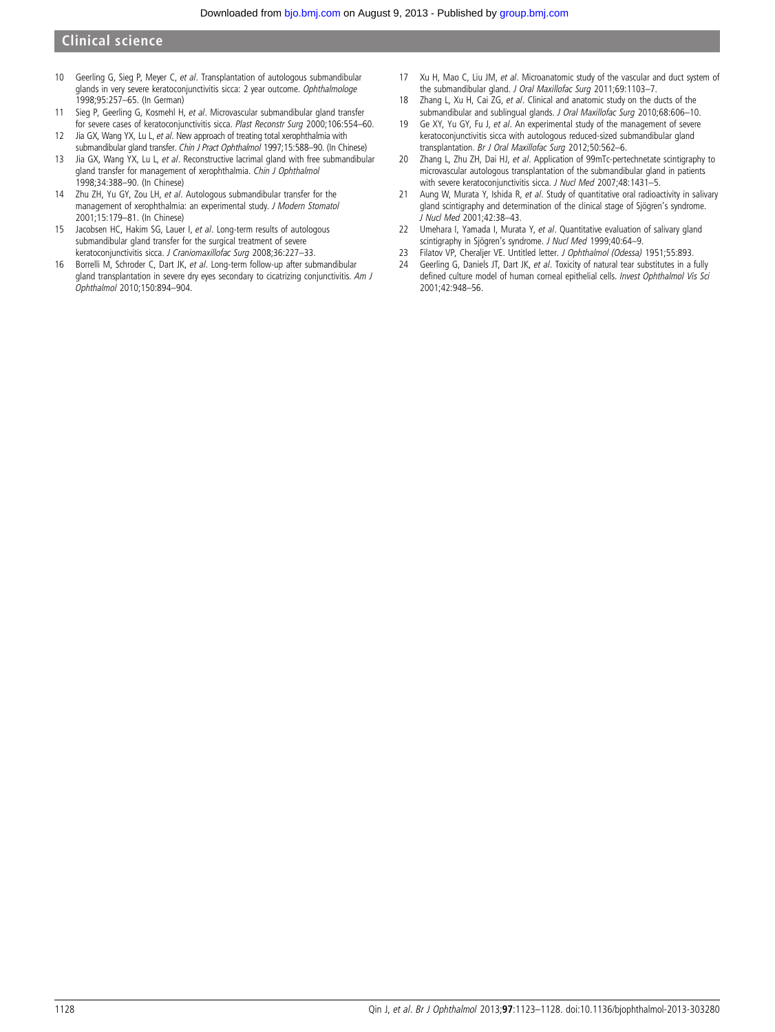#### Clinical science

- 10 Geerling G, Sieg P, Meyer C, et al. Transplantation of autologous submandibular glands in very severe keratoconjunctivitis sicca: 2 year outcome. Ophthalmologe 1998;95:257–65. (In German)
- 11 Sieg P, Geerling G, Kosmehl H, et al. Microvascular submandibular gland transfer for severe cases of keratoconjunctivitis sicca. Plast Reconstr Surg 2000;106:554–60.
- 12 Jia GX, Wang YX, Lu L, et al. New approach of treating total xerophthalmia with submandibular gland transfer. Chin J Pract Ophthalmol 1997;15:588-90. (In Chinese)
- 13 Jia GX, Wang YX, Lu L, et al. Reconstructive lacrimal gland with free submandibular gland transfer for management of xerophthalmia. Chin J Ophthalmol 1998;34:388–90. (In Chinese)
- 14 Zhu ZH, Yu GY, Zou LH, et al. Autologous submandibular transfer for the management of xerophthalmia: an experimental study. J Modern Stomatol 2001;15:179–81. (In Chinese)
- 15 Jacobsen HC, Hakim SG, Lauer I, et al. Long-term results of autologous submandibular gland transfer for the surgical treatment of severe keratoconjunctivitis sicca. J Craniomaxillofac Surg 2008;36:227–33.
- 16 Borrelli M, Schroder C, Dart JK, et al. Long-term follow-up after submandibular gland transplantation in severe dry eyes secondary to cicatrizing conjunctivitis. Am J Ophthalmol 2010;150:894–904.
- 17 Xu H, Mao C, Liu JM, et al. Microanatomic study of the vascular and duct system of the submandibular gland. J Oral Maxillofac Surg 2011;69:1103-7.
- 18 Zhang L, Xu H, Cai ZG, et al. Clinical and anatomic study on the ducts of the submandibular and sublingual glands. J Oral Maxillofac Surg 2010;68:606–10.
- 19 Ge XY, Yu GY, Fu J, et al. An experimental study of the management of severe keratoconjunctivitis sicca with autologous reduced-sized submandibular gland transplantation. Br J Oral Maxillofac Surg 2012;50:562–6.
- 20 Zhang L, Zhu ZH, Dai HJ, et al. Application of 99mTc-pertechnetate scintigraphy to microvascular autologous transplantation of the submandibular gland in patients with severe keratoconjunctivitis sicca. J Nucl Med 2007;48:1431-5.
- 21 Aung W, Murata Y, Ishida R, et al. Study of quantitative oral radioactivity in salivary gland scintigraphy and determination of the clinical stage of Sjögren's syndrome. J Nucl Med 2001;42:38–43.
- 22 Umehara I, Yamada I, Murata Y, et al. Quantitative evaluation of salivary gland scintigraphy in Sjögren's syndrome. J Nucl Med 1999;40:64–9.
- 23 Filatov VP, Cheraljer VE. Untitled letter. J Ophthalmol (Odessa) 1951;55:893.
- 24 Geerling G, Daniels JT, Dart JK, et al. Toxicity of natural tear substitutes in a fully defined culture model of human corneal epithelial cells. Invest Ophthalmol Vis Sci 2001;42:948–56.